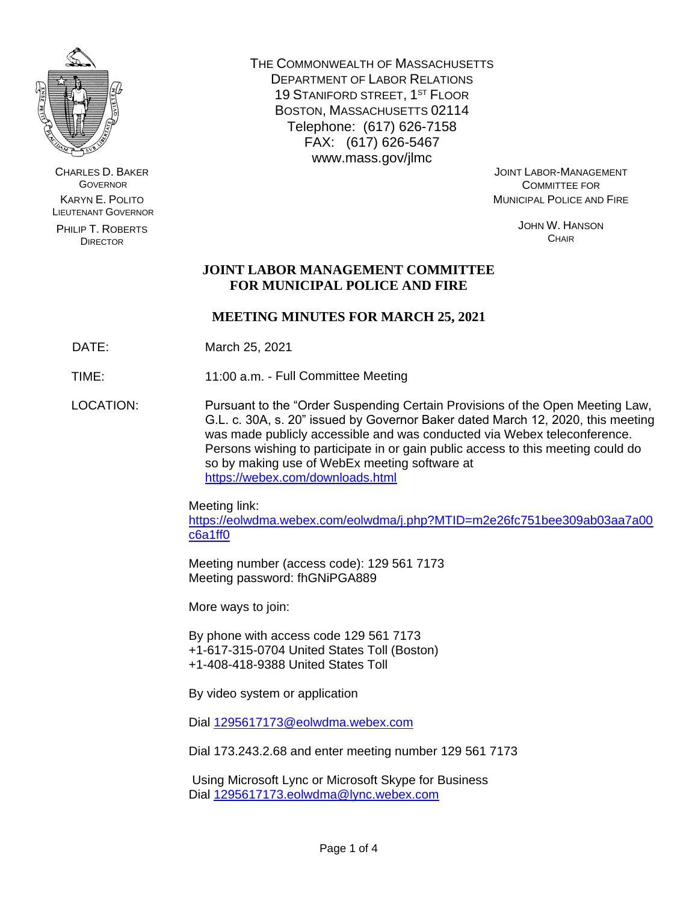

CHARLES D. BAKER **GOVERNOR** KARYN E. POLITO LIEUTENANT GOVERNOR

PHILIP T. ROBERTS DIRECTOR

THE COMMONWEALTH OF MASSACHUSETTS DEPARTMENT OF LABOR RELATIONS 19 STANIFORD STREET, 1ST FLOOR BOSTON, MASSACHUSETTS 02114 Telephone: (617) 626-7158 FAX: (617) 626-5467 www.mass.gov/jlmc

JOINT LABOR-MANAGEMENT COMMITTEE FOR MUNICIPAL POLICE AND FIRE

> JOHN W. HANSON **CHAIR**

# **JOINT LABOR MANAGEMENT COMMITTEE FOR MUNICIPAL POLICE AND FIRE**

# **MEETING MINUTES FOR MARCH 25, 2021**

DATE: March 25, 2021

TIME: 11:00 a.m. - Full Committee Meeting

LOCATION: Pursuant to the "Order Suspending Certain Provisions of the Open Meeting Law, G.L. c. 30A, s. 20" issued by Governor Baker dated March 12, 2020, this meeting was made publicly accessible and was conducted via Webex teleconference. Persons wishing to participate in or gain public access to this meeting could do so by making use of WebEx meeting software at <https://webex.com/downloads.html>

> Meeting link: [https://eolwdma.webex.com/eolwdma/j.php?MTID=m2e26fc751bee309ab03aa7a00](https://eolwdma.webex.com/eolwdma/j.php?MTID=m2e26fc751bee309ab03aa7a00c6a1ff0) [c6a1ff0](https://eolwdma.webex.com/eolwdma/j.php?MTID=m2e26fc751bee309ab03aa7a00c6a1ff0)

Meeting number (access code): 129 561 7173 Meeting password: fhGNiPGA889

More ways to join:

By phone with access code 129 561 7173 +1-617-315-0704 United States Toll (Boston) +1-408-418-9388 United States Toll

By video system or application

Dial [1295617173@eolwdma.webex.com](mailto:1295617173@eolwdma.webex.com)

Dial 173.243.2.68 and enter meeting number 129 561 7173

Using Microsoft Lync or Microsoft Skype for Business Dial [1295617173.eolwdma@lync.webex.com](mailto:1295617173.eolwdma@lync.webex.com)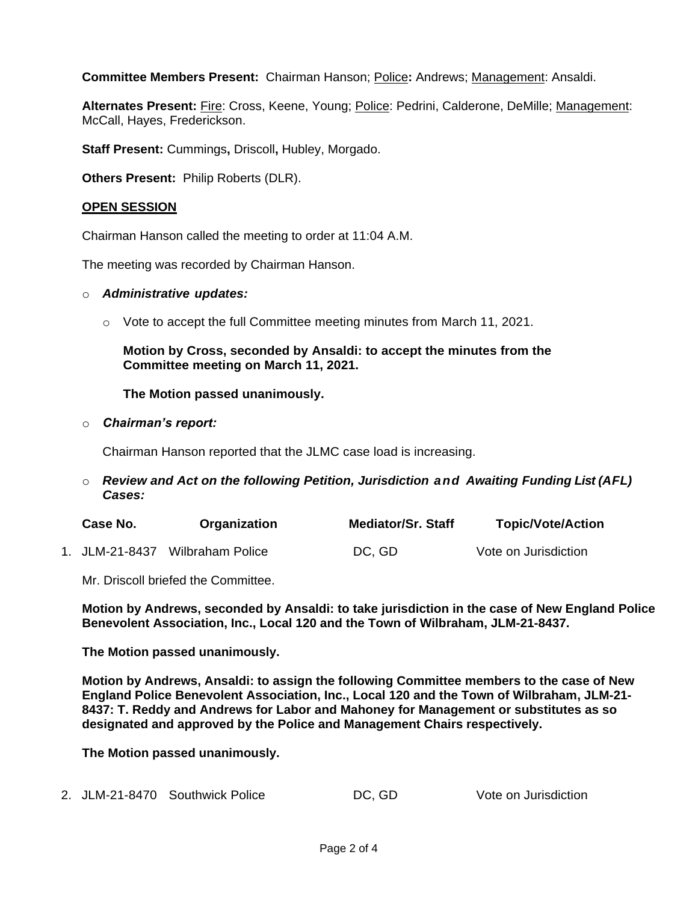**Committee Members Present:** Chairman Hanson; Police**:** Andrews; Management: Ansaldi.

Alternates Present: Fire: Cross, Keene, Young; Police: Pedrini, Calderone, DeMille; Management: McCall, Hayes, Frederickson.

**Staff Present:** Cummings**,** Driscoll**,** Hubley, Morgado.

**Others Present:** Philip Roberts (DLR).

## **OPEN SESSION**

Chairman Hanson called the meeting to order at 11:04 A.M.

The meeting was recorded by Chairman Hanson.

#### o *Administrative updates:*

 $\circ$  Vote to accept the full Committee meeting minutes from March 11, 2021.

## **Motion by Cross, seconded by Ansaldi: to accept the minutes from the Committee meeting on March 11, 2021.**

## **The Motion passed unanimously.**

#### o *Chairman's report:*

Chairman Hanson reported that the JLMC case load is increasing.

o *Review and Act on the following Petition, Jurisdiction and Awaiting Funding List (AFL) Cases:*

| Case No.       | Organization     | <b>Mediator/Sr. Staff</b> | <b>Topic/Vote/Action</b> |
|----------------|------------------|---------------------------|--------------------------|
| 1. JLM-21-8437 | Wilbraham Police | DC, GD                    | Vote on Jurisdiction     |

Mr. Driscoll briefed the Committee.

**Motion by Andrews, seconded by Ansaldi: to take jurisdiction in the case of New England Police Benevolent Association, Inc., Local 120 and the Town of Wilbraham, JLM-21-8437.**

**The Motion passed unanimously.**

**Motion by Andrews, Ansaldi: to assign the following Committee members to the case of New England Police Benevolent Association, Inc., Local 120 and the Town of Wilbraham, JLM-21- 8437: T. Reddy and Andrews for Labor and Mahoney for Management or substitutes as so designated and approved by the Police and Management Chairs respectively.**

**The Motion passed unanimously.**

| DC, GD<br>2. JLM-21-8470 Southwick Police | Vote on Jurisdiction |
|-------------------------------------------|----------------------|
|-------------------------------------------|----------------------|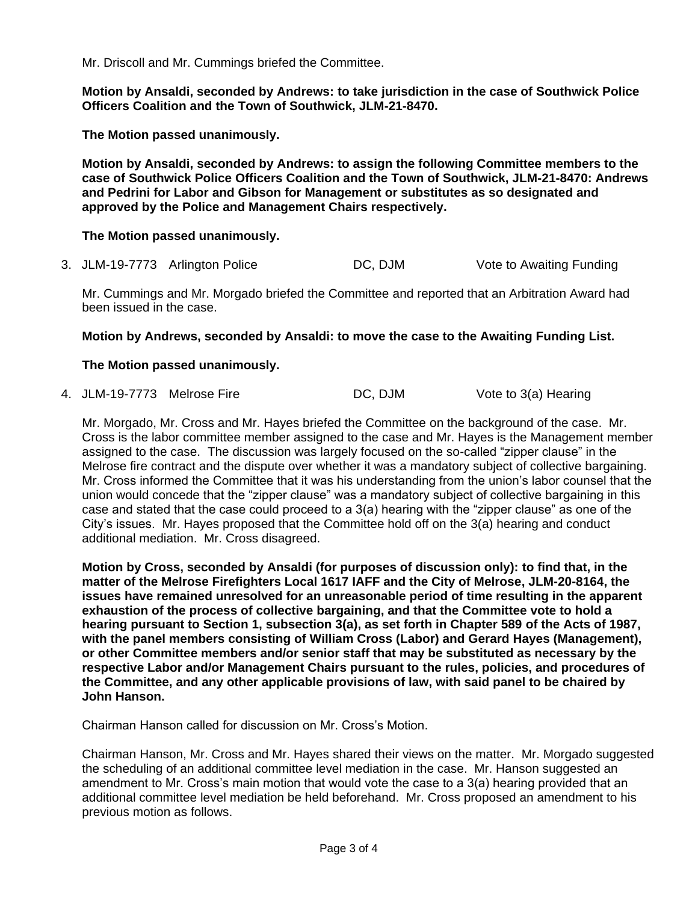Mr. Driscoll and Mr. Cummings briefed the Committee.

**Motion by Ansaldi, seconded by Andrews: to take jurisdiction in the case of Southwick Police Officers Coalition and the Town of Southwick, JLM-21-8470.** 

**The Motion passed unanimously.**

**Motion by Ansaldi, seconded by Andrews: to assign the following Committee members to the case of Southwick Police Officers Coalition and the Town of Southwick, JLM-21-8470: Andrews and Pedrini for Labor and Gibson for Management or substitutes as so designated and approved by the Police and Management Chairs respectively.**

## **The Motion passed unanimously.**

3. JLM-19-7773 Arlington Police DC, DJM Vote to Awaiting Funding

Mr. Cummings and Mr. Morgado briefed the Committee and reported that an Arbitration Award had been issued in the case.

#### **Motion by Andrews, seconded by Ansaldi: to move the case to the Awaiting Funding List.**

## **The Motion passed unanimously.**

4. JLM-19-7773 Melrose Fire DC, DJM Vote to 3(a) Hearing

Mr. Morgado, Mr. Cross and Mr. Hayes briefed the Committee on the background of the case. Mr. Cross is the labor committee member assigned to the case and Mr. Hayes is the Management member assigned to the case. The discussion was largely focused on the so-called "zipper clause" in the Melrose fire contract and the dispute over whether it was a mandatory subject of collective bargaining. Mr. Cross informed the Committee that it was his understanding from the union's labor counsel that the union would concede that the "zipper clause" was a mandatory subject of collective bargaining in this case and stated that the case could proceed to a 3(a) hearing with the "zipper clause" as one of the City's issues. Mr. Hayes proposed that the Committee hold off on the 3(a) hearing and conduct additional mediation. Mr. Cross disagreed.

**Motion by Cross, seconded by Ansaldi (for purposes of discussion only): to find that, in the matter of the Melrose Firefighters Local 1617 IAFF and the City of Melrose, JLM-20-8164, the issues have remained unresolved for an unreasonable period of time resulting in the apparent exhaustion of the process of collective bargaining, and that the Committee vote to hold a hearing pursuant to Section 1, subsection 3(a), as set forth in Chapter 589 of the Acts of 1987, with the panel members consisting of William Cross (Labor) and Gerard Hayes (Management), or other Committee members and/or senior staff that may be substituted as necessary by the respective Labor and/or Management Chairs pursuant to the rules, policies, and procedures of the Committee, and any other applicable provisions of law, with said panel to be chaired by John Hanson.**

Chairman Hanson called for discussion on Mr. Cross's Motion.

Chairman Hanson, Mr. Cross and Mr. Hayes shared their views on the matter. Mr. Morgado suggested the scheduling of an additional committee level mediation in the case. Mr. Hanson suggested an amendment to Mr. Cross's main motion that would vote the case to a 3(a) hearing provided that an additional committee level mediation be held beforehand. Mr. Cross proposed an amendment to his previous motion as follows.